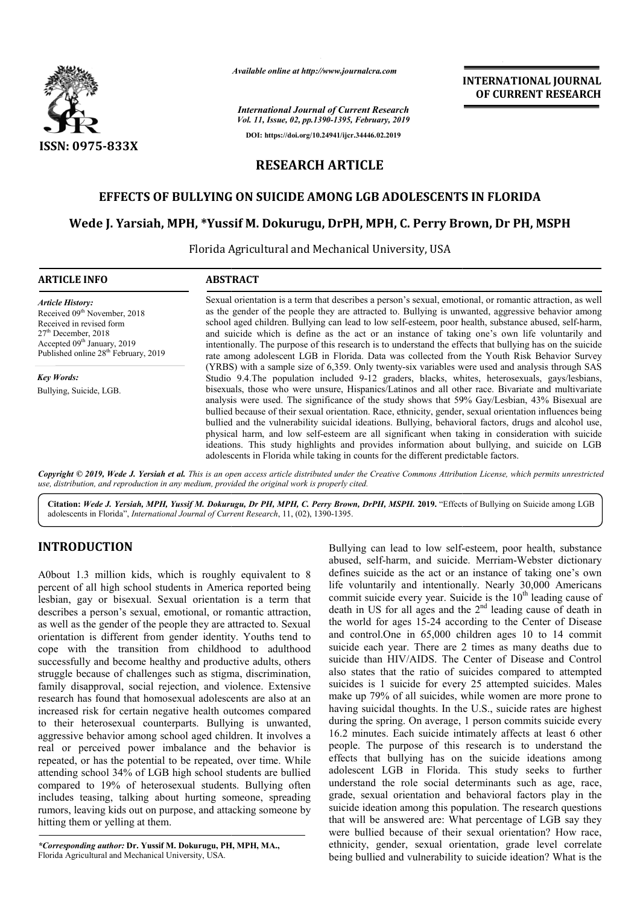

*Available online at http://www.journalcra.com*

*International Journal of Current Research Vol. 11, Issue, 02, pp.1390-1395, February, 2019* **DOI: https://doi.org/10.24941/ijcr.34446.02.2019**

# **INTERNATIONAL JOURNAL OF CURRENT RESEARCH**

# **RESEARCH ARTICLE**

## **EFFECTS OF BULLYING ON SUICIDE AMONG LGB ADOLESCENTS IN FLORIDA**

## **Wede J. Yarsiah, MPH, \*Yussif M. Dokurugu, DrPH, rsiah, MPH, C. Perry Brown, Dr Dr PH, MSPH**

Florida A Agricultural and Mechanical University, USA

| <b>ARTICLE INFO</b>                                                                                                                                                                                                     | <b>ABSTRACT</b>                                                                                                                                                                                                                                                                                                                                                                                                                                                                                                                                                                                                                                                                                                         |
|-------------------------------------------------------------------------------------------------------------------------------------------------------------------------------------------------------------------------|-------------------------------------------------------------------------------------------------------------------------------------------------------------------------------------------------------------------------------------------------------------------------------------------------------------------------------------------------------------------------------------------------------------------------------------------------------------------------------------------------------------------------------------------------------------------------------------------------------------------------------------------------------------------------------------------------------------------------|
| <b>Article History:</b><br>Received 09 <sup>th</sup> November, 2018<br>Received in revised form<br>$27th$ December, 2018<br>Accepted 09 <sup>th</sup> January, 2019<br>Published online 28 <sup>th</sup> February, 2019 | Sexual orientation is a term that describes a person's sexual, emotional, or romantic attraction, as well<br>as the gender of the people they are attracted to. Bullying is unwanted, aggressive behavior among<br>school aged children. Bullying can lead to low self-esteem, poor health, substance abused, self-harm,<br>and suicide which is define as the act or an instance of taking one's own life voluntarily and<br>intentionally. The purpose of this research is to understand the effects that bullying has on the suicide<br>rate among adolescent LGB in Florida. Data was collected from the Youth Risk Behavior Survey                                                                                 |
| <b>Key Words:</b>                                                                                                                                                                                                       | (YRBS) with a sample size of 6,359. Only twenty-six variables were used and analysis through SAS<br>Studio 9.4. The population included 9-12 graders, blacks, whites, heterosexuals, gays/lesbians,                                                                                                                                                                                                                                                                                                                                                                                                                                                                                                                     |
| Bullying, Suicide, LGB.                                                                                                                                                                                                 | bisexuals, those who were unsure, Hispanics/Latinos and all other race. Bivariate and multivariate<br>analysis were used. The significance of the study shows that 59% Gay/Lesbian, 43% Bisexual are<br>bullied because of their sexual orientation. Race, ethnicity, gender, sexual orientation influences being<br>bullied and the vulnerability suicidal ideations. Bullying, behavioral factors, drugs and alcohol use,<br>physical harm, and low self-esteem are all significant when taking in consideration with suicide<br>ideations. This study highlights and provides information about bullying, and suicide on LGB<br>adolescents in Florida while taking in counts for the different predictable factors. |

Copyright © 2019, Wede J. Yersiah et al. This is an open access article distributed under the Creative Commons Attribution License, which permits unrestrictea *use, distribution, and reproduction in any medium, provided the original work is properly cited.*

Citation: Wede J. Yersiah, MPH, Yussif M. Dokurugu, Dr PH, MPH, C. Perry Brown, DrPH, MSPH. 2019. "Effects of Bullying on Suicide among LGB adolescents in Florida", *International Journal of Current Research* , 11, (02), 1390-1395.

# **INTRODUCTION**

A0bout 1.3 million kids, which is roughly equivalent to 8 percent of all high school students in America reported being lesbian, gay or bisexual. Sexual orientation is a term that describes a person's sexual, emotional, or romantic attraction, as well as the gender of the people they are attracted to. Sexual orientation is different from gender identity. Youths tend to cope with the transition from childhood to adulthood successfully and become healthy and productive adults, others struggle because of challenges such as stigma, discrimination, family disapproval, social rejection, and violence. Extensive research has found that homosexual adolescents are also at an increased risk for certain negative health outcomes compared to their heterosexual counterparts. Bullying is unwanted, aggressive behavior among school aged children. It involves a real or perceived power imbalance and the behavior is repeated, or has the potential to be repeated, over time. While attending school 34% of LGB high school students ar compared to 19% of heterosexual students. Bullying often includes teasing, talking about hurting someone, spreading rumors, leaving kids out on purpose, and attacking someone by hitting them or yelling at them. he gender of the people they are attracted to. Sexual<br>is different from gender identity. Youths tend to<br>the transition from childhood to adulthood<br>y and become healthy and productive adults, others<br>cause of challenges such

*\*Corresponding author:* **Dr. Yussif M. Dokurugu, PH, MPH, MA.,**  Florida Agricultural and Mechanical University, USA.

Bullying can lead to low self-<br>
which is roughly equivalent to 8<br>
defines suicide as the cat of a<br>
tudents in America reported being<br>
life voluntarily and intentiona<br>
Sexual orientation is a term that<br>
commit suicide every abused, self-harm, and suicide. Merriam-Webster dictionary defines suicide as the act or an instance of taking one's own life voluntarily and intentionally. Nearly 30,000 Americans life voluntarily and intentionally. Nearly  $30,000$  Americans commit suicide every year. Suicide is the  $10<sup>th</sup>$  leading cause of death in US for all ages and the  $2<sup>nd</sup>$  leading cause of death in the world for ages 15-24 according to the Center of Disease and control.One in 65,000 children ages 10 to 14 commit suicide each year. There are 2 times as many deaths due to suicide than HIV/AIDS. The Center of Disease and Control also states that the ratio of suicides compared to attempted suicides is 1 suicide for every 25 attempted suicides. Males make up 79% of all suicides, while women are more prone to having suicidal thoughts. In the U.S., suicide rates are highest during the spring. On average, 1 person commits suicide every 16.2 minutes. Each suicide intimately affects at least 6 other people. The purpose of this research is to understand the effects that bullying has on the suicide ideations among adolescent LGB in Florida. This study seeks to further understand the role social determinants such as age, race, grade, sexual orientation and behavioral factors play in the suicide ideation among this population. The research questions that will be answered are: What percentage of LGB say they were bullied because of their sexual orientation? How race, ethnicity, gender, sexual orientation, grade level correlate being bullied and vulnerability to suicide ideation? What is the Bullying can lead to low self-esteem, poor health, substance ntrol.One in 65,000 children ages 10 to 14 commit each year. There are 2 times as many deaths due to than HIV/AIDS. The Center of Disease and Control thes that the ratio of suicides compared to attempted is is 1 suicide fo **FIFTENIATIONAL JOURNAL FORMATIONAL JOURNAL FORMATION OF CURRENT RESEARCH OF FORMATION OF CURRENT RESEARCH CHE LCB ADOLESCENTS IN FLORIDA IS and the state of the state of the state of the state of the state of the state o**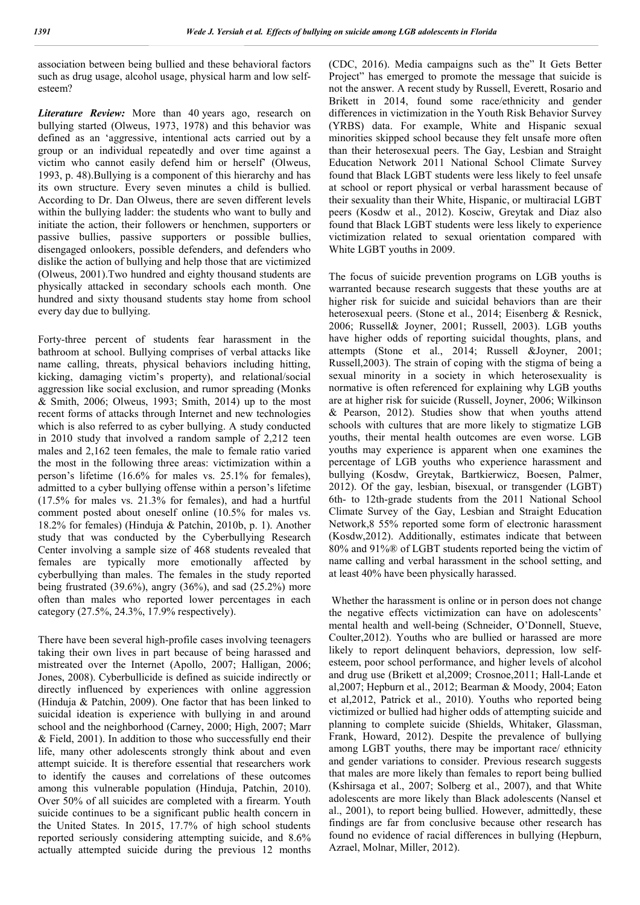association between being bullied and these behavioral factors such as drug usage, alcohol usage, physical harm and low selfesteem?

*Literature Review:* More than 40 years ago, research on bullying started (Olweus, 1973, 1978) and this behavior was defined as an 'aggressive, intentional acts carried out by a group or an individual repeatedly and over time against a victim who cannot easily defend him or herself' (Olweus, 1993, p. 48).Bullying is a component of this hierarchy and has its own structure. Every seven minutes a child is bullied. According to Dr. Dan Olweus, there are seven different levels within the bullying ladder: the students who want to bully and initiate the action, their followers or henchmen, supporters or passive bullies, passive supporters or possible bullies, disengaged onlookers, possible defenders, and defenders who dislike the action of bullying and help those that are victimized (Olweus, 2001).Two hundred and eighty thousand students are physically attacked in secondary schools each month. One hundred and sixty thousand students stay home from school every day due to bullying.

Forty-three percent of students fear harassment in the bathroom at school. Bullying comprises of verbal attacks like name calling, threats, physical behaviors including hitting, kicking, damaging victim's property), and relational/social aggression like social exclusion, and rumor spreading (Monks & Smith, 2006; Olweus, 1993; Smith, 2014) up to the most recent forms of attacks through Internet and new technologies which is also referred to as cyber bullying. A study conducted in 2010 study that involved a random sample of 2,212 teen males and 2,162 teen females, the male to female ratio varied the most in the following three areas: victimization within a person's lifetime (16.6% for males vs. 25.1% for females), admitted to a cyber bullying offense within a person's lifetime (17.5% for males vs. 21.3% for females), and had a hurtful comment posted about oneself online (10.5% for males vs. 18.2% for females) (Hinduja & Patchin, 2010b, p. 1). Another study that was conducted by the Cyberbullying Research Center involving a sample size of 468 students revealed that females are typically more emotionally affected by cyberbullying than males. The females in the study reported being frustrated  $(39.6\%)$ , angry  $(36\%)$ , and sad  $(25.2\%)$  more often than males who reported lower percentages in each category (27.5%, 24.3%, 17.9% respectively).

There have been several high-profile cases involving teenagers taking their own lives in part because of being harassed and mistreated over the Internet (Apollo, 2007; Halligan, 2006; Jones, 2008). Cyberbullicide is defined as suicide indirectly or directly influenced by experiences with online aggression (Hinduja & Patchin, 2009). One factor that has been linked to suicidal ideation is experience with bullying in and around school and the neighborhood (Carney, 2000; High, 2007; Marr & Field, 2001). In addition to those who successfully end their life, many other adolescents strongly think about and even attempt suicide. It is therefore essential that researchers work to identify the causes and correlations of these outcomes among this vulnerable population (Hinduja, Patchin, 2010). Over 50% of all suicides are completed with a firearm. Youth suicide continues to be a significant public health concern in the United States. In 2015, 17.7% of high school students reported seriously considering attempting suicide, and 8.6% actually attempted suicide during the previous 12 months

(CDC, 2016). Media campaigns such as the" It Gets Better Project" has emerged to promote the message that suicide is not the answer. A recent study by Russell, Everett, Rosario and Brikett in 2014, found some race/ethnicity and gender differences in victimization in the Youth Risk Behavior Survey (YRBS) data. For example, White and Hispanic sexual minorities skipped school because they felt unsafe more often than their heterosexual peers. The Gay, Lesbian and Straight Education Network 2011 National School Climate Survey found that Black LGBT students were less likely to feel unsafe at school or report physical or verbal harassment because of their sexuality than their White, Hispanic, or multiracial LGBT peers (Kosdw et al., 2012). Kosciw, Greytak and Diaz also found that Black LGBT students were less likely to experience victimization related to sexual orientation compared with White LGBT youths in 2009.

The focus of suicide prevention programs on LGB youths is warranted because research suggests that these youths are at higher risk for suicide and suicidal behaviors than are their heterosexual peers. (Stone et al., 2014; Eisenberg & Resnick, 2006; Russell& Joyner, 2001; Russell, 2003). LGB youths have higher odds of reporting suicidal thoughts, plans, and attempts (Stone et al., 2014; Russell &Joyner, 2001; Russell,2003). The strain of coping with the stigma of being a sexual minority in a society in which heterosexuality is normative is often referenced for explaining why LGB youths are at higher risk for suicide (Russell, Joyner, 2006; Wilkinson & Pearson, 2012). Studies show that when youths attend schools with cultures that are more likely to stigmatize LGB youths, their mental health outcomes are even worse. LGB youths may experience is apparent when one examines the percentage of LGB youths who experience harassment and bullying (Kosdw, Greytak, Bartkierwicz, Boesen, Palmer, 2012). Of the gay, lesbian, bisexual, or transgender (LGBT) 6th- to 12th-grade students from the 2011 National School Climate Survey of the Gay, Lesbian and Straight Education Network,8 55% reported some form of electronic harassment (Kosdw,2012). Additionally, estimates indicate that between 80% and 91%® of LGBT students reported being the victim of name calling and verbal harassment in the school setting, and at least 40% have been physically harassed.

Whether the harassment is online or in person does not change the negative effects victimization can have on adolescents' mental health and well-being (Schneider, O'Donnell, Stueve, Coulter,2012). Youths who are bullied or harassed are more likely to report delinquent behaviors, depression, low selfesteem, poor school performance, and higher levels of alcohol and drug use (Brikett et al,2009; Crosnoe,2011; Hall-Lande et al,2007; Hepburn et al., 2012; Bearman & Moody, 2004; Eaton et al,2012, Patrick et al., 2010). Youths who reported being victimized or bullied had higher odds of attempting suicide and planning to complete suicide (Shields, Whitaker, Glassman, Frank, Howard, 2012). Despite the prevalence of bullying among LGBT youths, there may be important race/ ethnicity and gender variations to consider. Previous research suggests that males are more likely than females to report being bullied (Kshirsaga et al., 2007; Solberg et al., 2007), and that White adolescents are more likely than Black adolescents (Nansel et al., 2001), to report being bullied. However, admittedly, these findings are far from conclusive because other research has found no evidence of racial differences in bullying (Hepburn, Azrael, Molnar, Miller, 2012).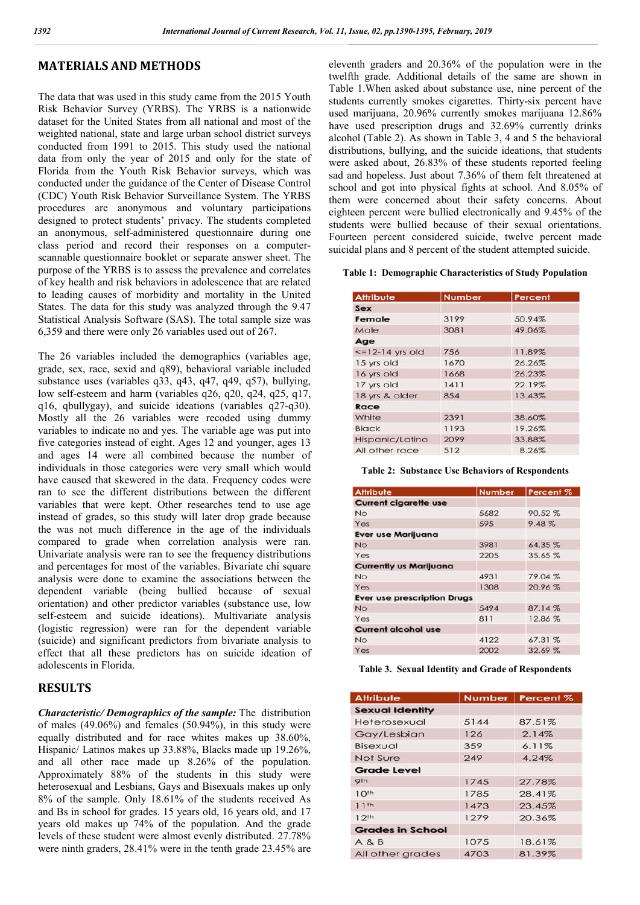## **MATERIALS AND METHODS**

The data that was used in this study came from the 2015 Youth Risk Behavior Survey (YRBS). The YRBS is a nationwide dataset for the United States from all national and most of the weighted national, state and large urban school district surveys conducted from 1991 to 2015. This study used the national data from only the year of 2015 and only for the state of Florida from the Youth Risk Behavior surveys, which was conducted under the guidance of the Center of Disease Control (CDC) Youth Risk Behavior Surveillance System. The YRBS procedures are anonymous and voluntary participations designed to protect students' privacy. The students completed an anonymous, self-administered questionnaire during one class period and record their responses on a computerscannable questionnaire booklet or separate answer sheet. The purpose of the YRBS is to assess the prevalence and correlates of key health and risk behaviors in adolescence that are related to leading causes of morbidity and mortality in the United States. The data for this study was analyzed through the 9.47 Statistical Analysis Software (SAS). The total sample size was 6,359 and there were only 26 variables used out of 267.

The 26 variables included the demographics (variables age, grade, sex, race, sexid and q89), behavioral variable included substance uses (variables q33, q43, q47, q49, q57), bullying, low self-esteem and harm (variables q26, q20, q24, q25, q17, q16, qbullygay), and suicide ideations (variables q27-q30). Mostly all the 26 variables were recoded using dummy variables to indicate no and yes. The variable age was put into five categories instead of eight. Ages 12 and younger, ages 13 and ages 14 were all combined because the number of individuals in those categories were very small which would have caused that skewered in the data. Frequency codes were ran to see the different distributions between the different variables that were kept. Other researches tend to use age instead of grades, so this study will later drop grade because the was not much difference in the age of the individuals compared to grade when correlation analysis were ran. Univariate analysis were ran to see the frequency distributions and percentages for most of the variables. Bivariate chi square analysis were done to examine the associations between the dependent variable (being bullied because of sexual orientation) and other predictor variables (substance use, low self-esteem and suicide ideations). Multivariate analysis (logistic regression) were ran for the dependent variable (suicide) and significant predictors from bivariate analysis to effect that all these predictors has on suicide ideation of adolescents in Florida.

## **RESULTS**

*Characteristic/ Demographics of the sample:* The distribution of males  $(49.06\%)$  and females  $(50.94\%)$ , in this study were equally distributed and for race whites makes up 38.60%, Hispanic/ Latinos makes up 33.88%, Blacks made up 19.26%, and all other race made up 8.26% of the population. Approximately 88% of the students in this study were heterosexual and Lesbians, Gays and Bisexuals makes up only 8% of the sample. Only 18.61% of the students received As and Bs in school for grades. 15 years old, 16 years old, and 17 years old makes up 74% of the population. And the grade levels of these student were almost evenly distributed. 27.78% were ninth graders, 28.41% were in the tenth grade 23.45% are eleventh graders and 20.36% of the population were in the twelfth grade. Additional details of the same are shown in Table 1.When asked about substance use, nine percent of the students currently smokes cigarettes. Thirty-six percent have used marijuana, 20.96% currently smokes marijuana 12.86% have used prescription drugs and 32.69% currently drinks alcohol (Table 2). As shown in Table 3, 4 and 5 the behavioral distributions, bullying, and the suicide ideations, that students were asked about, 26.83% of these students reported feeling sad and hopeless. Just about 7.36% of them felt threatened at school and got into physical fights at school. And 8.05% of them were concerned about their safety concerns. About eighteen percent were bullied electronically and 9.45% of the students were bullied because of their sexual orientations. Fourteen percent considered suicide, twelve percent made suicidal plans and 8 percent of the student attempted suicide.

#### **Table 1: Demographic Characteristics of Study Population**

| <b>Attribute</b>     | Number | Percent |
|----------------------|--------|---------|
| Sex                  |        |         |
| Female               | 3199   | 50.94%  |
| Male                 | 3081   | 49.06%  |
| Age                  |        |         |
| $\le$ =12-14 yrs old | 756    | 11.89%  |
| 15 yrs old           | 1670   | 26.26%  |
| 16 yrs old           | 1668   | 26.23%  |
| 17 yrs old           | 1411   | 22.19%  |
| 18 yrs & older       | 854    | 13.43%  |
| Race                 |        |         |
| White                | 2391   | 38.60%  |
| <b>Black</b>         | 1193   | 19.26%  |
| Hispanic/Latino      | 2099   | 33.88%  |
| All other race       | 512    | 8.26%   |

#### **Table 2: Substance Use Behaviors of Respondents**

| <b>Attribute</b>                   | <b>Number</b> | Percent % |
|------------------------------------|---------------|-----------|
| <b>Current cigarette use</b>       |               |           |
| <b>No</b>                          | 5682          | 90.52%    |
| Yes                                | 595           | 9.48%     |
| <b>Ever use Marijuana</b>          |               |           |
| <b>No</b>                          | 3981          | 64.35%    |
| Yes                                | 2205          | 35.65%    |
| <b>Currently us Marijuana</b>      |               |           |
| <b>No</b>                          | 4931          | 79.04%    |
| Yes                                | 1308          | 20.96%    |
| <b>Ever use prescription Drugs</b> |               |           |
| <b>No</b>                          | 5494          | 87.14%    |
| Yes                                | 811           | 12.86%    |
| <b>Current alcohol use</b>         |               |           |
| <b>No</b>                          | 4122          | 67.31%    |
| Yes                                | 2002          | 32.69%    |

#### **Table 3. Sexual Identity and Grade of Respondents**

| <b>Attribute</b>        |      | Number   Percent % |
|-------------------------|------|--------------------|
| <b>Sexual Identity</b>  |      |                    |
| Heterosexual            | 5144 | 87.51%             |
| Gay/Lesbian             | 126  | 2.14%              |
| Bisexual                | 359  | 6.11%              |
| Not Sure                | 249  | 4.24%              |
| <b>Grade Level</b>      |      |                    |
| 9 <sub>th</sub>         | 1745 | 27.78%             |
| 10 <sup>th</sup>        | 1785 | 28.41%             |
| 11th                    | 1473 | 23.45%             |
| 12 <sup>th</sup>        | 1279 | 20.36%             |
| <b>Grades in School</b> |      |                    |
| A 8 B                   | 1075 | 18.61%             |
| All other grades        | 4703 | 81.39%             |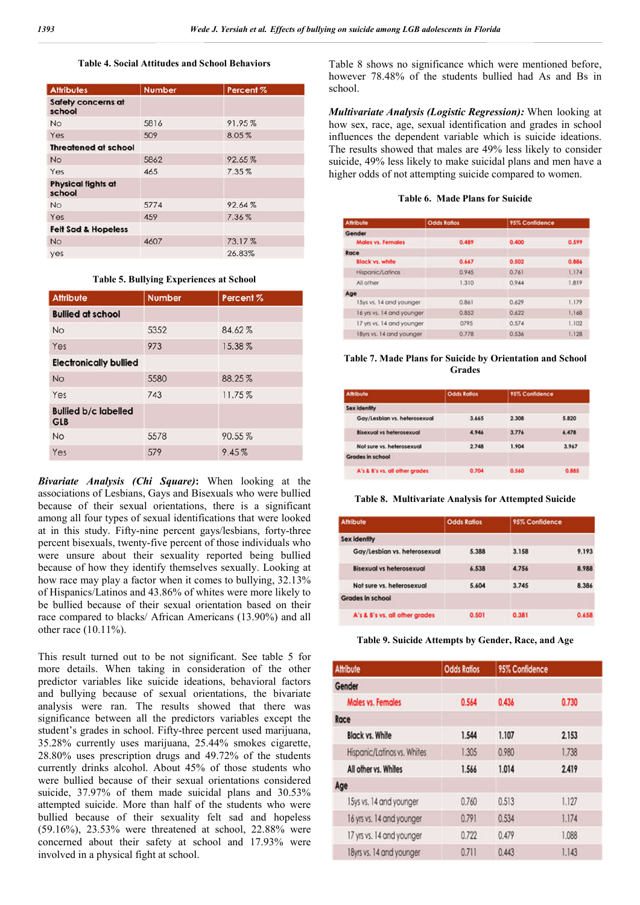#### **Table 4. Social Attitudes and School Behaviors**

| <b>Attributes</b>                   | <b>Number</b> | Percent <sub>%</sub> |
|-------------------------------------|---------------|----------------------|
| <b>Safety concerns at</b><br>school |               |                      |
| <b>No</b>                           | 5816          | 91.95%               |
| Yes                                 | 509           | 8.05%                |
| <b>Threatened at school</b>         |               |                      |
| <b>No</b>                           | 5862          | 92.65%               |
| Yes                                 | 465           | 7.35%                |
| <b>Physical fights at</b><br>school |               |                      |
| <b>No</b>                           | 5774          | 92.64%               |
| Yes                                 | 459           | 7.36%                |
| <b>Felt Sad &amp; Hopeless</b>      |               |                      |
| <b>No</b>                           | 4607          | 73.17%               |
| yes                                 |               | 26.83%               |

| <b>Attribute</b>                          | <b>Number</b> | Percent <sub>%</sub> |  |  |
|-------------------------------------------|---------------|----------------------|--|--|
| <b>Bullied at school</b>                  |               |                      |  |  |
| <b>No</b>                                 | 5352          | 84.62%               |  |  |
| Yes                                       | 973           | 15.38%               |  |  |
| <b>Electronically bullied</b>             |               |                      |  |  |
| <b>No</b>                                 | 5580          | 88.25%               |  |  |
| Yes                                       | 743           | 11.75%               |  |  |
| <b>Bullied b/c labelled</b><br><b>GLB</b> |               |                      |  |  |
| <b>No</b>                                 | 5578          | 90.55%               |  |  |
| Yes                                       | 579           | 9.45%                |  |  |
|                                           |               |                      |  |  |

**Table 5. Bullying Experiences at School**

*Bivariate Analysis (Chi Square)***:** When looking at the associations of Lesbians, Gays and Bisexuals who were bullied because of their sexual orientations, there is a significant among all four types of sexual identifications that were looked at in this study. Fifty-nine percent gays/lesbians, forty-three percent bisexuals, twenty-five percent of those individuals who were unsure about their sexuality reported being bullied because of how they identify themselves sexually. Looking at how race may play a factor when it comes to bullying, 32.13% of Hispanics/Latinos and 43.86% of whites were more likely to be bullied because of their sexual orientation based on their race compared to blacks/ African Americans (13.90%) and all other race (10.11%).

This result turned out to be not significant. See table 5 for more details. When taking in consideration of the other predictor variables like suicide ideations, behavioral factors and bullying because of sexual orientations, the bivariate analysis were ran. The results showed that there was significance between all the predictors variables except the student's grades in school. Fifty-three percent used marijuana, 35.28% currently uses marijuana, 25.44% smokes cigarette, 28.80% uses prescription drugs and 49.72% of the students currently drinks alcohol. About 45% of those students who were bullied because of their sexual orientations considered suicide, 37.97% of them made suicidal plans and 30.53% attempted suicide. More than half of the students who were bullied because of their sexuality felt sad and hopeless (59.16%), 23.53% were threatened at school, 22.88% were concerned about their safety at school and 17.93% were involved in a physical fight at school.

Table 8 shows no significance which were mentioned before, however 78.48% of the students bullied had As and Bs in school.

*Multivariate Analysis (Logistic Regression):* When looking at how sex, race, age, sexual identification and grades in school influences the dependent variable which is suicide ideations. The results showed that males are 49% less likely to consider suicide, 49% less likely to make suicidal plans and men have a higher odds of not attempting suicide compared to women.

| <b>Table 6. Made Plans for Suicide</b> |  |  |  |  |
|----------------------------------------|--|--|--|--|
|----------------------------------------|--|--|--|--|

| Attribute                 | <b>Odds Ratios</b> | 95% Confidence |       |
|---------------------------|--------------------|----------------|-------|
| Gender                    |                    |                |       |
| <b>Males vs. Females</b>  | 0.489              | 0.400          | 0.599 |
| Race                      |                    |                |       |
| Black vs. white           | 0.667              | 0.502          | 0.884 |
| Hispanic/Latinos          | 0.945              | 0.761          | 1.174 |
| All other                 | 1,310              | 0.944          | 1.819 |
| Age                       |                    |                |       |
| 15ys vs. 14 and younger   | 0.861              | 0.629          | 1.179 |
| 16 yrs vs. 14 and younger | 0.852              | 0.622          | 1.168 |
| 17 yrs vs. 14 and younger | 0795               | 0.574          | 1.102 |
| 18yrs vs. 14 and younger  | 0.778              | 0.536          | 1.128 |

#### **Table 7. Made Plans for Suicide by Orientation and School Grades**

| <b>Affribute</b>               | <b>Odds Ratios</b> | 95% Confidence |       |
|--------------------------------|--------------------|----------------|-------|
| <b>Sex Identity</b>            |                    |                |       |
| Gay/Lesbian vs. helerosexual   | 3.665              | 2 308          | 5.820 |
| Bisexual vs heterosexual       | 4.946              | 3.776          | 6.478 |
| Not sure vs. helerosexual      | 2.748              | 1.904          | 3.967 |
| Grades in school               |                    |                |       |
| A's & B's vs. all other grades | 0.704              | 0.560          | 0.885 |

#### **Table 8. Multivariate Analysis for Attempted Suicide**

| Attribute                       | <b>Odds Ratios</b> | 95% Confidence |       |
|---------------------------------|--------------------|----------------|-------|
| <b>Sex identity</b>             |                    |                |       |
| Gay/Lesblan vs. heterosexual    | 5.388              | 3.158          | 9.193 |
| <b>Bisexual vs helerosexual</b> | 6.538              | 4.756          | 8.988 |
| Not sure vs. heterosexual       | 5.604              | 3.745          | 8.386 |
| Grades in school                |                    |                |       |
| A's & B's vs. all other grades  | 0.501              | 0.381          | 0.658 |

### **Table 9. Suicide Attempts by Gender, Race, and Age**

| <b>Attribute</b>            | <b>Odds Ratios</b> | 95% Confidence |       |
|-----------------------------|--------------------|----------------|-------|
| Gender                      |                    |                |       |
| Males vs. Females           | 0.564              | 0.436          | 0.730 |
| Race                        |                    |                |       |
| <b>Black vs. White</b>      | 1.544              | 1.107          | 2.153 |
| Hispanic/Latinos vs. Whites | 1.305              | 0.980          | 1.738 |
| All other vs. Whites        | 1.566              | 1.014          | 2.419 |
| Age                         |                    |                |       |
| 15ys vs. 14 and younger     | 0.760              | 0.513          | 1.127 |
| 16 yrs vs. 14 and younger   | 0.791              | 0.534          | 1.174 |
| 17 yrs vs. 14 and younger   | 0.722              | 0.479          | 1.088 |
| 18yrs vs. 14 and younger    | 0.711              | 0.443          | 1.143 |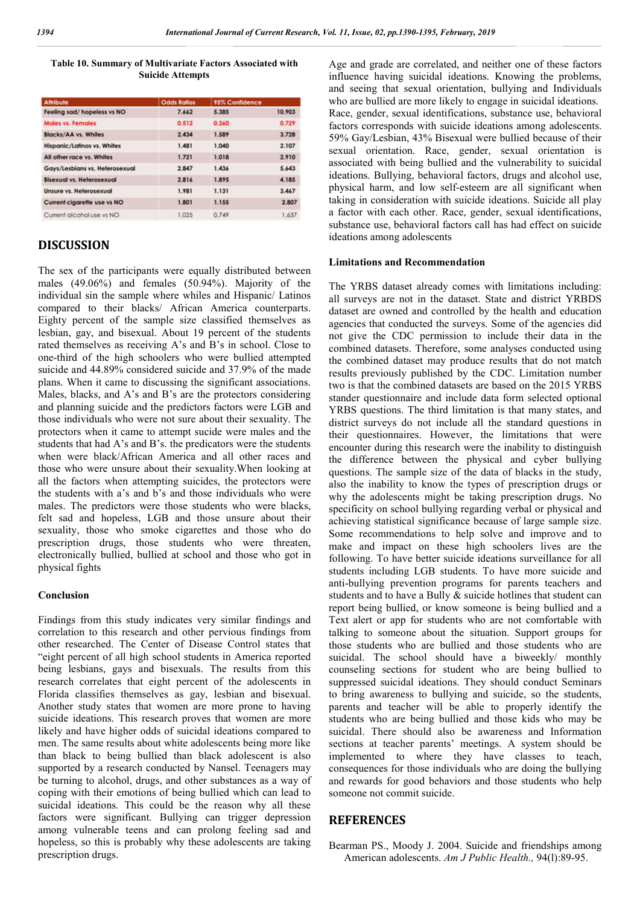### **Table 10. Summary of Multivariate Factors Associated with Suicide Attempts**

| <b>Attribute</b>                 | <b>Odds Ratios</b> | 95% Confidence |        |
|----------------------------------|--------------------|----------------|--------|
| Feeling sad/hopeless vs NO       | 7.662              | 5.385          | 10.903 |
| <b>Males vs. Females</b>         | 0.512              | 0.360          | 0.729  |
| Blacks/AA vs. Whites             | 2.434              | 1.589          | 3.728  |
| Hispanic/Latinos vs. Whites      | 1.481              | 1.040          | 2.107  |
| All other race vs. Whites        | 1.721              | 1,018          | 2.910  |
| Gays/Lesblans vs. Heterosexual   | 2.847              | 1.436          | 5.643  |
| <b>Bisexual vs. Heterosexual</b> | 2.816              | 1.895          | 4.185  |
| Unsure vs. Heterosexual          | 1.981              | 1.131          | 3.467  |
| Current cigarette use vs NO      | 1.801              | 1.155          | 2.807  |
| Current alcohol use vs NO        | 1.025              | 0.749          | 1.637  |

# **DISCUSSION**

The sex of the participants were equally distributed between males (49.06%) and females (50.94%). Majority of the individual sin the sample where whiles and Hispanic/ Latinos compared to their blacks/ African America counterparts. Eighty percent of the sample size classified themselves as lesbian, gay, and bisexual. About 19 percent of the students rated themselves as receiving A's and B's in school. Close to one-third of the high schoolers who were bullied attempted suicide and 44.89% considered suicide and 37.9% of the made plans. When it came to discussing the significant associations. Males, blacks, and A's and B's are the protectors considering and planning suicide and the predictors factors were LGB and those individuals who were not sure about their sexuality. The protectors when it came to attempt sucide were males and the students that had A's and B's. the predicators were the students when were black/African America and all other races and those who were unsure about their sexuality.When looking at all the factors when attempting suicides, the protectors were the students with a's and b's and those individuals who were males. The predictors were those students who were blacks, felt sad and hopeless, LGB and those unsure about their sexuality, those who smoke cigarettes and those who do prescription drugs, those students who were threaten, electronically bullied, bullied at school and those who got in physical fights

### **Conclusion**

Findings from this study indicates very similar findings and correlation to this research and other pervious findings from other researched. The Center of Disease Control states that "eight percent of all high school students in America reported being lesbians, gays and bisexuals. The results from this research correlates that eight percent of the adolescents in Florida classifies themselves as gay, lesbian and bisexual. Another study states that women are more prone to having suicide ideations. This research proves that women are more likely and have higher odds of suicidal ideations compared to men. The same results about white adolescents being more like than black to being bullied than black adolescent is also supported by a research conducted by Nansel. Teenagers may be turning to alcohol, drugs, and other substances as a way of coping with their emotions of being bullied which can lead to suicidal ideations. This could be the reason why all these factors were significant. Bullying can trigger depression among vulnerable teens and can prolong feeling sad and hopeless, so this is probably why these adolescents are taking prescription drugs.

Age and grade are correlated, and neither one of these factors influence having suicidal ideations. Knowing the problems, and seeing that sexual orientation, bullying and Individuals who are bullied are more likely to engage in suicidal ideations. Race, gender, sexual identifications, substance use, behavioral factors corresponds with suicide ideations among adolescents. 59% Gay/Lesbian, 43% Bisexual were bullied because of their sexual orientation. Race, gender, sexual orientation is associated with being bullied and the vulnerability to suicidal ideations. Bullying, behavioral factors, drugs and alcohol use, physical harm, and low self-esteem are all significant when taking in consideration with suicide ideations. Suicide all play a factor with each other. Race, gender, sexual identifications, substance use, behavioral factors call has had effect on suicide ideations among adolescents

### **Limitations and Recommendation**

The YRBS dataset already comes with limitations including: all surveys are not in the dataset. State and district YRBDS dataset are owned and controlled by the health and education agencies that conducted the surveys. Some of the agencies did not give the CDC permission to include their data in the combined datasets. Therefore, some analyses conducted using the combined dataset may produce results that do not match results previously published by the CDC. Limitation number two is that the combined datasets are based on the 2015 YRBS stander questionnaire and include data form selected optional YRBS questions. The third limitation is that many states, and district surveys do not include all the standard questions in their questionnaires. However, the limitations that were encounter during this research were the inability to distinguish the difference between the physical and cyber bullying questions. The sample size of the data of blacks in the study, also the inability to know the types of prescription drugs or why the adolescents might be taking prescription drugs. No specificity on school bullying regarding verbal or physical and achieving statistical significance because of large sample size. Some recommendations to help solve and improve and to make and impact on these high schoolers lives are the following. To have better suicide ideations surveillance for all students including LGB students. To have more suicide and anti-bullying prevention programs for parents teachers and students and to have a Bully & suicide hotlines that student can report being bullied, or know someone is being bullied and a Text alert or app for students who are not comfortable with talking to someone about the situation. Support groups for those students who are bullied and those students who are suicidal. The school should have a biweekly/ monthly counseling sections for student who are being bullied to suppressed suicidal ideations. They should conduct Seminars to bring awareness to bullying and suicide, so the students, parents and teacher will be able to properly identify the students who are being bullied and those kids who may be suicidal. There should also be awareness and Information sections at teacher parents' meetings. A system should be implemented to where they have classes to teach, consequences for those individuals who are doing the bullying and rewards for good behaviors and those students who help someone not commit suicide.

## **REFERENCES**

Bearman PS., Moody J. 2004. Suicide and friendships among American adolescents. *Am J Public Health.,* 94(l):89-95.